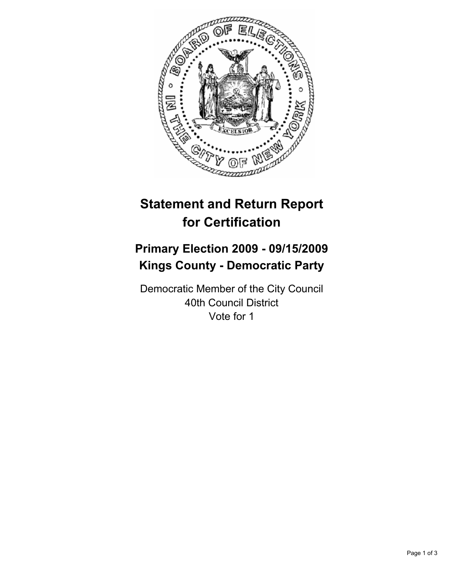

# **Statement and Return Report for Certification**

# **Primary Election 2009 - 09/15/2009 Kings County - Democratic Party**

Democratic Member of the City Council 40th Council District Vote for 1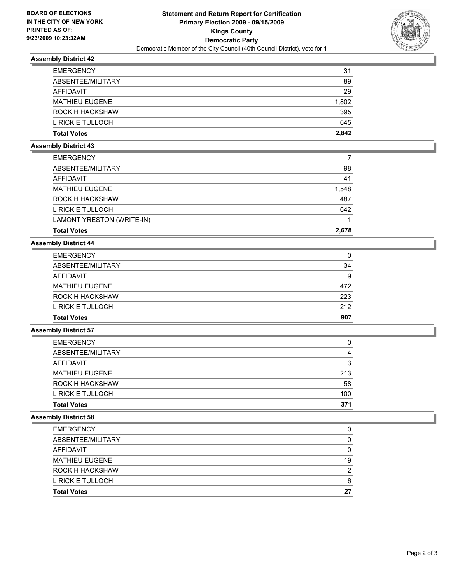

# **Assembly District 42**

| <b>EMERGENCY</b>      | 31    |
|-----------------------|-------|
| ABSENTEE/MILITARY     | 89    |
| AFFIDAVIT             | 29    |
| <b>MATHIEU EUGENE</b> | 1,802 |
| ROCK H HACKSHAW       | 395   |
| L RICKIE TULLOCH      | 645   |
| <b>Total Votes</b>    | 2.842 |

#### **Assembly District 43**

| <b>Total Votes</b>        | 2.678 |
|---------------------------|-------|
| LAMONT YRESTON (WRITE-IN) |       |
| L RICKIE TULLOCH          | 642   |
| ROCK H HACKSHAW           | 487   |
| <b>MATHIEU EUGENE</b>     | 1,548 |
| AFFIDAVIT                 | 41    |
| ABSENTEE/MILITARY         | 98    |
| <b>EMERGENCY</b>          |       |

# **Assembly District 44**

| <b>EMERGENCY</b>      | 0   |
|-----------------------|-----|
| ABSENTEE/MILITARY     | 34  |
| AFFIDAVIT             | 9   |
| <b>MATHIEU EUGENE</b> | 472 |
| ROCK H HACKSHAW       | 223 |
| L RICKIE TULLOCH      | 212 |
| <b>Total Votes</b>    | 907 |

## **Assembly District 57**

| <b>Total Votes</b>    | 371 |
|-----------------------|-----|
| L RICKIE TULLOCH      | 100 |
| ROCK H HACKSHAW       | 58  |
| <b>MATHIEU EUGENE</b> | 213 |
| AFFIDAVIT             | 3   |
| ABSENTEE/MILITARY     | 4   |
| <b>EMERGENCY</b>      | 0   |

# **Assembly District 58**

| <b>Total Votes</b>     | 27 |
|------------------------|----|
| L RICKIE TULLOCH       | 6  |
| <b>ROCK H HACKSHAW</b> | 2  |
| <b>MATHIEU EUGENE</b>  | 19 |
| AFFIDAVIT              | 0  |
| ABSENTEE/MILITARY      | 0  |
| <b>EMERGENCY</b>       | 0  |